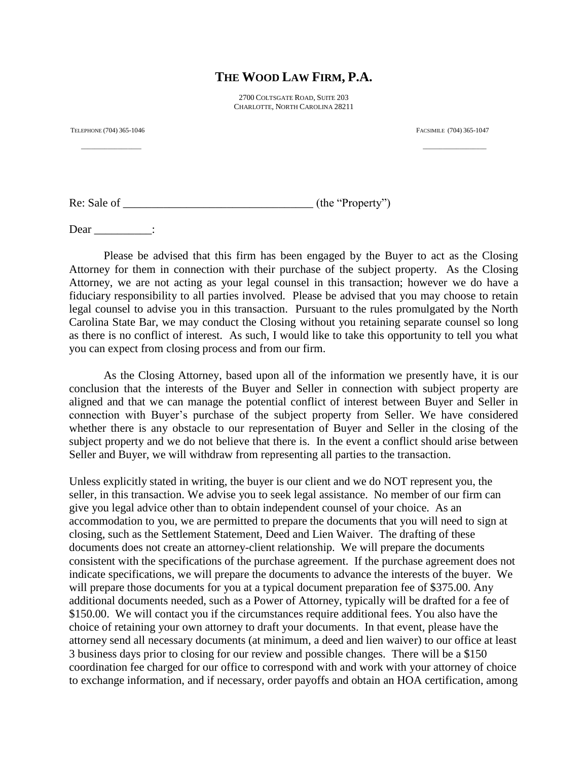## **THE WOOD LAW FIRM, P.A.**

2700 COLTSGATE ROAD, SUITE 203 CHARLOTTE, NORTH CAROLINA 28211

\_\_\_\_\_\_\_\_\_\_\_\_\_\_\_\_\_\_ \_\_\_\_\_\_\_\_\_\_\_\_\_\_\_\_\_\_\_

TELEPHONE (704) 365-1046 FACSIMILE (704) 365-1047

Re: Sale of \_\_\_\_\_\_\_\_\_\_\_\_\_\_\_\_\_\_\_\_\_\_\_\_\_\_\_\_\_\_\_\_\_ (the "Property")

Dear \_\_\_\_\_\_\_\_\_:

Please be advised that this firm has been engaged by the Buyer to act as the Closing Attorney for them in connection with their purchase of the subject property. As the Closing Attorney, we are not acting as your legal counsel in this transaction; however we do have a fiduciary responsibility to all parties involved. Please be advised that you may choose to retain legal counsel to advise you in this transaction. Pursuant to the rules promulgated by the North Carolina State Bar, we may conduct the Closing without you retaining separate counsel so long as there is no conflict of interest. As such, I would like to take this opportunity to tell you what you can expect from closing process and from our firm.

As the Closing Attorney, based upon all of the information we presently have, it is our conclusion that the interests of the Buyer and Seller in connection with subject property are aligned and that we can manage the potential conflict of interest between Buyer and Seller in connection with Buyer's purchase of the subject property from Seller. We have considered whether there is any obstacle to our representation of Buyer and Seller in the closing of the subject property and we do not believe that there is. In the event a conflict should arise between Seller and Buyer, we will withdraw from representing all parties to the transaction.

Unless explicitly stated in writing, the buyer is our client and we do NOT represent you, the seller, in this transaction. We advise you to seek legal assistance. No member of our firm can give you legal advice other than to obtain independent counsel of your choice. As an accommodation to you, we are permitted to prepare the documents that you will need to sign at closing, such as the Settlement Statement, Deed and Lien Waiver. The drafting of these documents does not create an attorney-client relationship. We will prepare the documents consistent with the specifications of the purchase agreement. If the purchase agreement does not indicate specifications, we will prepare the documents to advance the interests of the buyer. We will prepare those documents for you at a typical document preparation fee of \$375.00. Any additional documents needed, such as a Power of Attorney, typically will be drafted for a fee of \$150.00. We will contact you if the circumstances require additional fees. You also have the choice of retaining your own attorney to draft your documents. In that event, please have the attorney send all necessary documents (at minimum, a deed and lien waiver) to our office at least 3 business days prior to closing for our review and possible changes. There will be a \$150 coordination fee charged for our office to correspond with and work with your attorney of choice to exchange information, and if necessary, order payoffs and obtain an HOA certification, among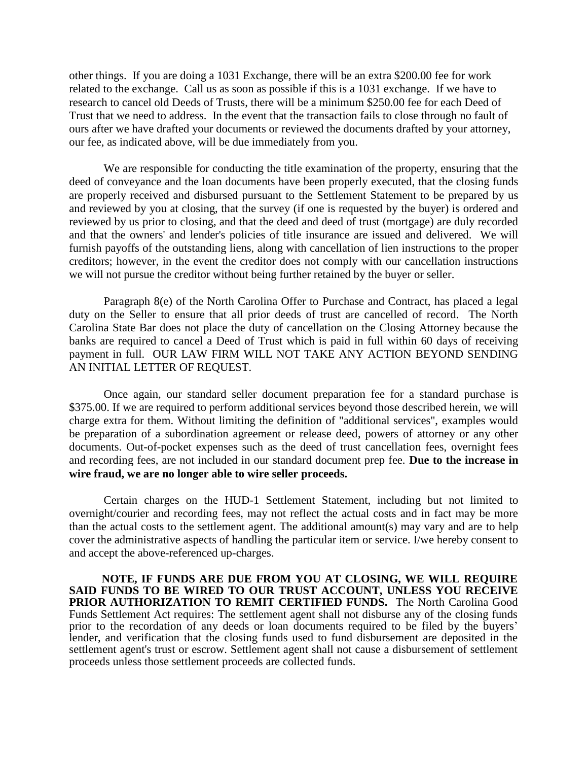other things. If you are doing a 1031 Exchange, there will be an extra \$200.00 fee for work related to the exchange. Call us as soon as possible if this is a 1031 exchange. If we have to research to cancel old Deeds of Trusts, there will be a minimum \$250.00 fee for each Deed of Trust that we need to address. In the event that the transaction fails to close through no fault of ours after we have drafted your documents or reviewed the documents drafted by your attorney, our fee, as indicated above, will be due immediately from you.

We are responsible for conducting the title examination of the property, ensuring that the deed of conveyance and the loan documents have been properly executed, that the closing funds are properly received and disbursed pursuant to the Settlement Statement to be prepared by us and reviewed by you at closing, that the survey (if one is requested by the buyer) is ordered and reviewed by us prior to closing, and that the deed and deed of trust (mortgage) are duly recorded and that the owners' and lender's policies of title insurance are issued and delivered. We will furnish payoffs of the outstanding liens, along with cancellation of lien instructions to the proper creditors; however, in the event the creditor does not comply with our cancellation instructions we will not pursue the creditor without being further retained by the buyer or seller.

Paragraph 8(e) of the North Carolina Offer to Purchase and Contract, has placed a legal duty on the Seller to ensure that all prior deeds of trust are cancelled of record. The North Carolina State Bar does not place the duty of cancellation on the Closing Attorney because the banks are required to cancel a Deed of Trust which is paid in full within 60 days of receiving payment in full. OUR LAW FIRM WILL NOT TAKE ANY ACTION BEYOND SENDING AN INITIAL LETTER OF REQUEST.

Once again, our standard seller document preparation fee for a standard purchase is \$375.00. If we are required to perform additional services beyond those described herein, we will charge extra for them. Without limiting the definition of "additional services", examples would be preparation of a subordination agreement or release deed, powers of attorney or any other documents. Out-of-pocket expenses such as the deed of trust cancellation fees, overnight fees and recording fees, are not included in our standard document prep fee. **Due to the increase in wire fraud, we are no longer able to wire seller proceeds.**

Certain charges on the HUD-1 Settlement Statement, including but not limited to overnight/courier and recording fees, may not reflect the actual costs and in fact may be more than the actual costs to the settlement agent. The additional amount(s) may vary and are to help cover the administrative aspects of handling the particular item or service. I/we hereby consent to and accept the above-referenced up-charges.

**NOTE, IF FUNDS ARE DUE FROM YOU AT CLOSING, WE WILL REQUIRE SAID FUNDS TO BE WIRED TO OUR TRUST ACCOUNT, UNLESS YOU RECEIVE PRIOR AUTHORIZATION TO REMIT CERTIFIED FUNDS.** The North Carolina Good Funds Settlement Act requires: The settlement agent shall not disburse any of the closing funds prior to the recordation of any deeds or loan documents required to be filed by the buyers' lender, and verification that the closing funds used to fund disbursement are deposited in the settlement agent's trust or escrow. Settlement agent shall not cause a disbursement of settlement proceeds unless those settlement proceeds are collected funds.